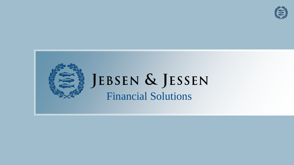

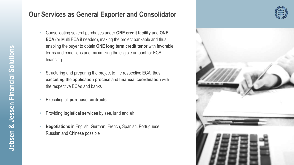### **Our Services as General Exporter and Consolidator**

- Consolidating several purchases under **ONE credit facility** and **ONE ECA** (or Multi ECA if needed), making the project bankable and thus enabling the buyer to obtain **ONE long term credit tenor** with favorable terms and conditions and maximizing the eligible amount for ECA financing
- Structuring and preparing the project to the respective ECA, thus **executing the application process** and **financial coordination** with the respective ECAs and banks
- Executing all **purchase contracts**
- Providing **logistical services** by sea, land and air
- **Negotiations** in English, German, French, Spanish, Portuguese, Russian and Chinese possible



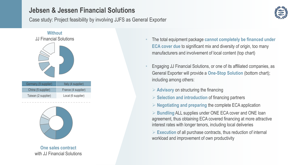# **Jebsen & Jessen Financial Solutions**

Case study: Project feasibility by involving JJFS as General Exporter





**One sales contract** with JJ Financial Solutions

- The total equipment package **cannot completely be financed under ECA cover due** to significant mix and diversity of origin, too many manufacturers and involvement of local content (top chart)
- Engaging JJ Financial Solutions, or one of its affiliated companies, as General Exporter will provide a **One-Stop Solution** (bottom chart); including among others:
	- ➢ **Advisory** on structuring the financing
	- ➢ **Selection and introduction** of financing partners
	- ➢ **Negotiating and preparing** the complete ECA application

➢ **Bundling** ALL supplies under ONE ECA cover and ONE loan agreement, thus obtaining ECA covered financing at more attractive interest rates with longer tenors, including local deliveries

➢ **Execution** of all purchase contracts, thus reduction of internal workload and improvement of own productivity

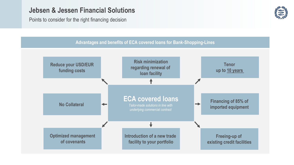## **Jebsen & Jessen Financial Solutions**

Points to consider for the right financing decision



#### **Advantages and benefits of ECA covered loans for Bank-Shopping-Lines**